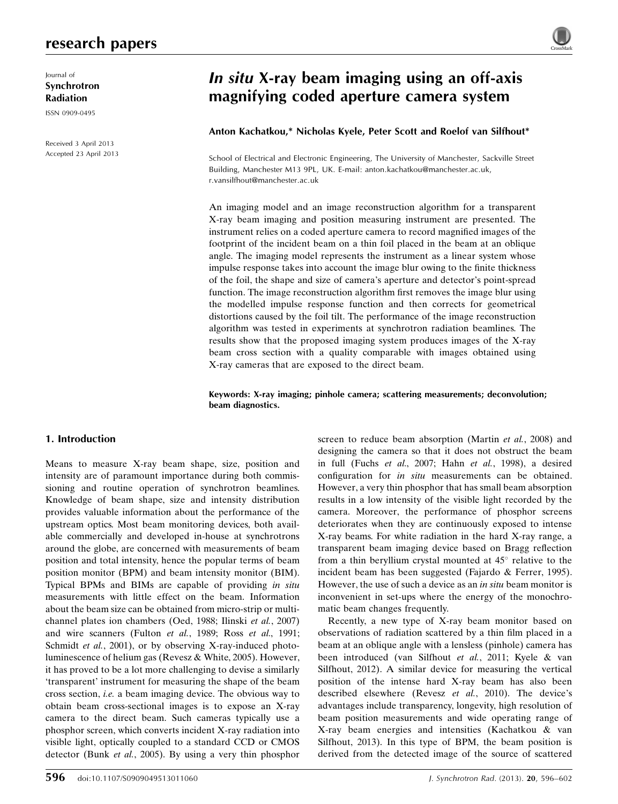## research papers

Journal of Synchrotron Radiation

ISSN 0909-0495

Received 3 April 2013 Accepted 23 April 2013



# In situ X-ray beam imaging using an off-axis magnifying coded aperture camera system

## Anton Kachatkou,\* Nicholas Kyele, Peter Scott and Roelof van Silfhout\*

School of Electrical and Electronic Engineering, The University of Manchester, Sackville Street Building, Manchester M13 9PL, UK. E-mail: anton.kachatkou@manchester.ac.uk, r.vansilfhout@manchester.ac.uk

An imaging model and an image reconstruction algorithm for a transparent X-ray beam imaging and position measuring instrument are presented. The instrument relies on a coded aperture camera to record magnified images of the footprint of the incident beam on a thin foil placed in the beam at an oblique angle. The imaging model represents the instrument as a linear system whose impulse response takes into account the image blur owing to the finite thickness of the foil, the shape and size of camera's aperture and detector's point-spread function. The image reconstruction algorithm first removes the image blur using the modelled impulse response function and then corrects for geometrical distortions caused by the foil tilt. The performance of the image reconstruction algorithm was tested in experiments at synchrotron radiation beamlines. The results show that the proposed imaging system produces images of the X-ray beam cross section with a quality comparable with images obtained using X-ray cameras that are exposed to the direct beam.

## Keywords: X-ray imaging; pinhole camera; scattering measurements; deconvolution; beam diagnostics.

## 1. Introduction

Means to measure X-ray beam shape, size, position and intensity are of paramount importance during both commissioning and routine operation of synchrotron beamlines. Knowledge of beam shape, size and intensity distribution provides valuable information about the performance of the upstream optics. Most beam monitoring devices, both available commercially and developed in-house at synchrotrons around the globe, are concerned with measurements of beam position and total intensity, hence the popular terms of beam position monitor (BPM) and beam intensity monitor (BIM). Typical BPMs and BIMs are capable of providing in situ measurements with little effect on the beam. Information about the beam size can be obtained from micro-strip or multichannel plates ion chambers (Oed, 1988; Ilinski et al., 2007) and wire scanners (Fulton et al., 1989; Ross et al., 1991; Schmidt et al., 2001), or by observing X-ray-induced photoluminescence of helium gas (Revesz & White, 2005). However, it has proved to be a lot more challenging to devise a similarly 'transparent' instrument for measuring the shape of the beam cross section, i.e. a beam imaging device. The obvious way to obtain beam cross-sectional images is to expose an X-ray camera to the direct beam. Such cameras typically use a phosphor screen, which converts incident X-ray radiation into visible light, optically coupled to a standard CCD or CMOS detector (Bunk et al., 2005). By using a very thin phosphor screen to reduce beam absorption (Martin et al., 2008) and designing the camera so that it does not obstruct the beam in full (Fuchs et al., 2007; Hahn et al., 1998), a desired configuration for in situ measurements can be obtained. However, a very thin phosphor that has small beam absorption results in a low intensity of the visible light recorded by the camera. Moreover, the performance of phosphor screens deteriorates when they are continuously exposed to intense X-ray beams. For white radiation in the hard X-ray range, a transparent beam imaging device based on Bragg reflection from a thin beryllium crystal mounted at  $45^\circ$  relative to the incident beam has been suggested (Fajardo & Ferrer, 1995). However, the use of such a device as an in situ beam monitor is inconvenient in set-ups where the energy of the monochromatic beam changes frequently.

Recently, a new type of X-ray beam monitor based on observations of radiation scattered by a thin film placed in a beam at an oblique angle with a lensless (pinhole) camera has been introduced (van Silfhout et al., 2011; Kyele & van Silfhout, 2012). A similar device for measuring the vertical position of the intense hard X-ray beam has also been described elsewhere (Revesz et al., 2010). The device's advantages include transparency, longevity, high resolution of beam position measurements and wide operating range of X-ray beam energies and intensities (Kachatkou & van Silfhout, 2013). In this type of BPM, the beam position is derived from the detected image of the source of scattered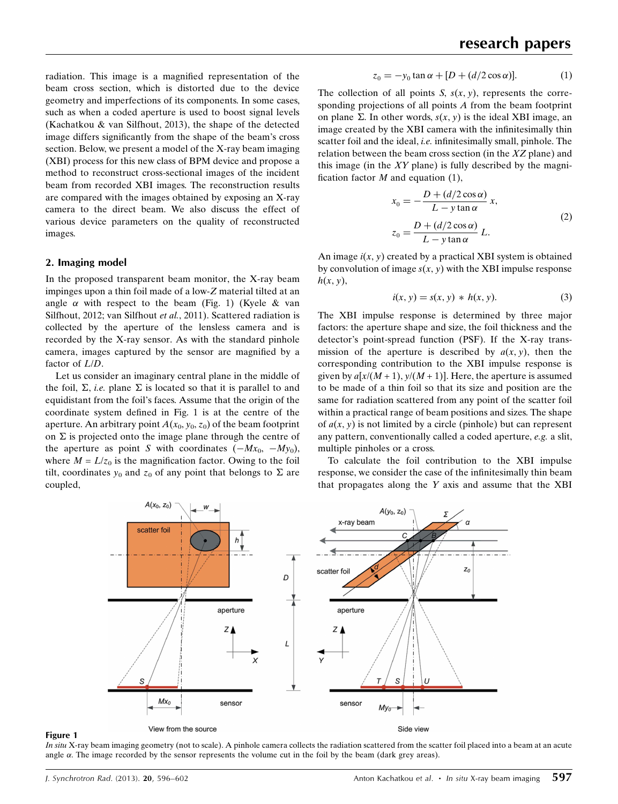radiation. This image is a magnified representation of the beam cross section, which is distorted due to the device geometry and imperfections of its components. In some cases, such as when a coded aperture is used to boost signal levels (Kachatkou & van Silfhout, 2013), the shape of the detected image differs significantly from the shape of the beam's cross section. Below, we present a model of the X-ray beam imaging (XBI) process for this new class of BPM device and propose a method to reconstruct cross-sectional images of the incident beam from recorded XBI images. The reconstruction results are compared with the images obtained by exposing an X-ray camera to the direct beam. We also discuss the effect of various device parameters on the quality of reconstructed images.

## 2. Imaging model

In the proposed transparent beam monitor, the X-ray beam impinges upon a thin foil made of a low-Z material tilted at an angle  $\alpha$  with respect to the beam (Fig. 1) (Kyele & van Silfhout, 2012; van Silfhout et al., 2011). Scattered radiation is collected by the aperture of the lensless camera and is recorded by the X-ray sensor. As with the standard pinhole camera, images captured by the sensor are magnified by a factor of L/D.

Let us consider an imaginary central plane in the middle of the foil,  $\Sigma$ , *i.e.* plane  $\Sigma$  is located so that it is parallel to and equidistant from the foil's faces. Assume that the origin of the coordinate system defined in Fig. 1 is at the centre of the aperture. An arbitrary point  $A(x_0, y_0, z_0)$  of the beam footprint on  $\Sigma$  is projected onto the image plane through the centre of the aperture as point S with coordinates  $(-Mx_0, -My_0)$ , where  $M = L/z_0$  is the magnification factor. Owing to the foil tilt, coordinates  $y_0$  and  $z_0$  of any point that belongs to  $\Sigma$  are coupled,

$$
z_0 = -y_0 \tan \alpha + [D + (d/2 \cos \alpha)]. \tag{1}
$$

The collection of all points S,  $s(x, y)$ , represents the corresponding projections of all points A from the beam footprint on plane  $\Sigma$ . In other words,  $s(x, y)$  is the ideal XBI image, an image created by the XBI camera with the infinitesimally thin scatter foil and the ideal, *i.e.* infinitesimally small, pinhole. The relation between the beam cross section (in the XZ plane) and this image (in the  $XY$  plane) is fully described by the magnification factor  $M$  and equation (1),

$$
x_0 = -\frac{D + (d/2\cos\alpha)}{L - y\tan\alpha}x,
$$
  
\n
$$
z_0 = \frac{D + (d/2\cos\alpha)}{L - y\tan\alpha}L.
$$
\n(2)

An image  $i(x, y)$  created by a practical XBI system is obtained by convolution of image  $s(x, y)$  with the XBI impulse response  $h(x, y)$ ,

$$
i(x, y) = s(x, y) * h(x, y).
$$
 (3)

The XBI impulse response is determined by three major factors: the aperture shape and size, the foil thickness and the detector's point-spread function (PSF). If the X-ray transmission of the aperture is described by  $a(x, y)$ , then the corresponding contribution to the XBI impulse response is given by  $a[x/(M + 1), y/(M + 1)]$ . Here, the aperture is assumed to be made of a thin foil so that its size and position are the same for radiation scattered from any point of the scatter foil within a practical range of beam positions and sizes. The shape of  $a(x, y)$  is not limited by a circle (pinhole) but can represent any pattern, conventionally called a coded aperture, e.g. a slit, multiple pinholes or a cross.

To calculate the foil contribution to the XBI impulse response, we consider the case of the infinitesimally thin beam that propagates along the  $Y$  axis and assume that the XBI



#### Figure 1

In situ X-ray beam imaging geometry (not to scale). A pinhole camera collects the radiation scattered from the scatter foil placed into a beam at an acute angle  $\alpha$ . The image recorded by the sensor represents the volume cut in the foil by the beam (dark grey areas).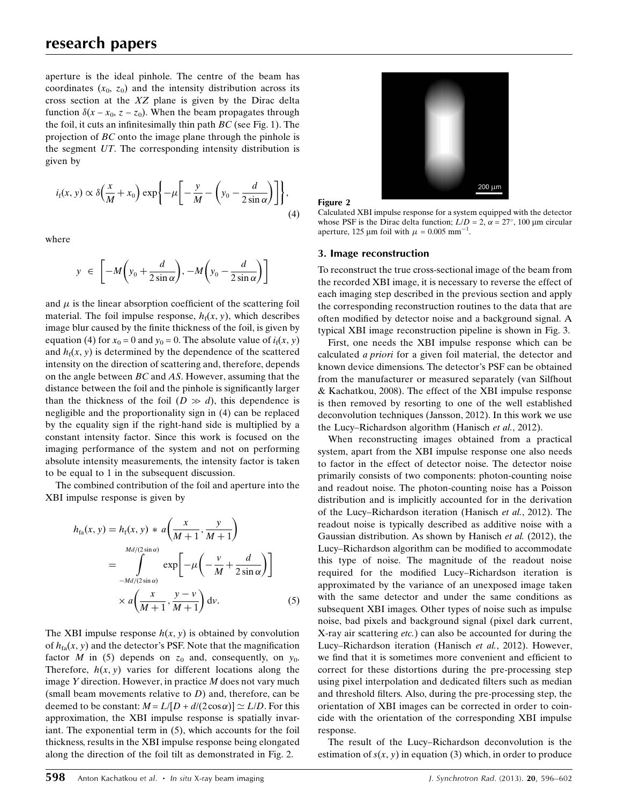aperture is the ideal pinhole. The centre of the beam has coordinates  $(x_0, z_0)$  and the intensity distribution across its cross section at the XZ plane is given by the Dirac delta function  $\delta(x - x_0, z - z_0)$ . When the beam propagates through the foil, it cuts an infinitesimally thin path  $BC$  (see Fig. 1). The projection of BC onto the image plane through the pinhole is the segment UT. The corresponding intensity distribution is given by

$$
i_t(x, y) \propto \delta\left(\frac{x}{M} + x_0\right) \exp\left\{-\mu \left[-\frac{y}{M} - \left(y_0 - \frac{d}{2\sin\alpha}\right)\right]\right\},\tag{4}
$$

where

$$
y \in \left[-M\left(y_0 + \frac{d}{2\sin\alpha}\right), -M\left(y_0 - \frac{d}{2\sin\alpha}\right)\right]
$$

and  $\mu$  is the linear absorption coefficient of the scattering foil material. The foil impulse response,  $h_f(x, y)$ , which describes image blur caused by the finite thickness of the foil, is given by equation (4) for  $x_0 = 0$  and  $y_0 = 0$ . The absolute value of  $i_f(x, y)$ and  $h_f(x, y)$  is determined by the dependence of the scattered intensity on the direction of scattering and, therefore, depends on the angle between BC and AS. However, assuming that the distance between the foil and the pinhole is significantly larger than the thickness of the foil  $(D \gg d)$ , this dependence is negligible and the proportionality sign in (4) can be replaced by the equality sign if the right-hand side is multiplied by a constant intensity factor. Since this work is focused on the imaging performance of the system and not on performing absolute intensity measurements, the intensity factor is taken to be equal to 1 in the subsequent discussion.

The combined contribution of the foil and aperture into the XBI impulse response is given by

$$
h_{\text{fa}}(x, y) = h_{\text{f}}(x, y) * a\left(\frac{x}{M+1}, \frac{y}{M+1}\right)
$$
  
= 
$$
\int_{-Md/(2\sin\alpha)}^{Md/(2\sin\alpha)} \exp\left[-\mu\left(-\frac{v}{M} + \frac{d}{2\sin\alpha}\right)\right]
$$
  

$$
\times a\left(\frac{x}{M+1}, \frac{y-v}{M+1}\right) \mathrm{d}v.
$$
 (5)

The XBI impulse response  $h(x, y)$  is obtained by convolution of  $h_{fa}(x, y)$  and the detector's PSF. Note that the magnification factor M in (5) depends on  $z_0$  and, consequently, on  $y_0$ . Therefore,  $h(x, y)$  varies for different locations along the image Y direction. However, in practice M does not vary much (small beam movements relative to  $D$ ) and, therefore, can be deemed to be constant:  $M = L/[D + d/(2\cos\alpha)] \simeq L/D$ . For this approximation, the XBI impulse response is spatially invariant. The exponential term in (5), which accounts for the foil thickness, results in the XBI impulse response being elongated along the direction of the foil tilt as demonstrated in Fig. 2.



Figure 2

Calculated XBI impulse response for a system equipped with the detector whose PSF is the Dirac delta function;  $L/D = 2$ ,  $\alpha = 27^{\circ}$ , 100 µm circular aperture, 125  $\mu$ m foil with  $\mu = 0.005$  mm<sup>-1</sup>.

#### 3. Image reconstruction

To reconstruct the true cross-sectional image of the beam from the recorded XBI image, it is necessary to reverse the effect of each imaging step described in the previous section and apply the corresponding reconstruction routines to the data that are often modified by detector noise and a background signal. A typical XBI image reconstruction pipeline is shown in Fig. 3.

First, one needs the XBI impulse response which can be calculated a priori for a given foil material, the detector and known device dimensions. The detector's PSF can be obtained from the manufacturer or measured separately (van Silfhout & Kachatkou, 2008). The effect of the XBI impulse response is then removed by resorting to one of the well established deconvolution techniques (Jansson, 2012). In this work we use the Lucy–Richardson algorithm (Hanisch et al., 2012).

When reconstructing images obtained from a practical system, apart from the XBI impulse response one also needs to factor in the effect of detector noise. The detector noise primarily consists of two components: photon-counting noise and readout noise. The photon-counting noise has a Poisson distribution and is implicitly accounted for in the derivation of the Lucy–Richardson iteration (Hanisch et al., 2012). The readout noise is typically described as additive noise with a Gaussian distribution. As shown by Hanisch et al. (2012), the Lucy–Richardson algorithm can be modified to accommodate this type of noise. The magnitude of the readout noise required for the modified Lucy–Richardson iteration is approximated by the variance of an unexposed image taken with the same detector and under the same conditions as subsequent XBI images. Other types of noise such as impulse noise, bad pixels and background signal (pixel dark current, X-ray air scattering etc.) can also be accounted for during the Lucy–Richardson iteration (Hanisch et al., 2012). However, we find that it is sometimes more convenient and efficient to correct for these distortions during the pre-processing step using pixel interpolation and dedicated filters such as median and threshold filters. Also, during the pre-processing step, the orientation of XBI images can be corrected in order to coincide with the orientation of the corresponding XBI impulse response.

The result of the Lucy–Richardson deconvolution is the estimation of  $s(x, y)$  in equation (3) which, in order to produce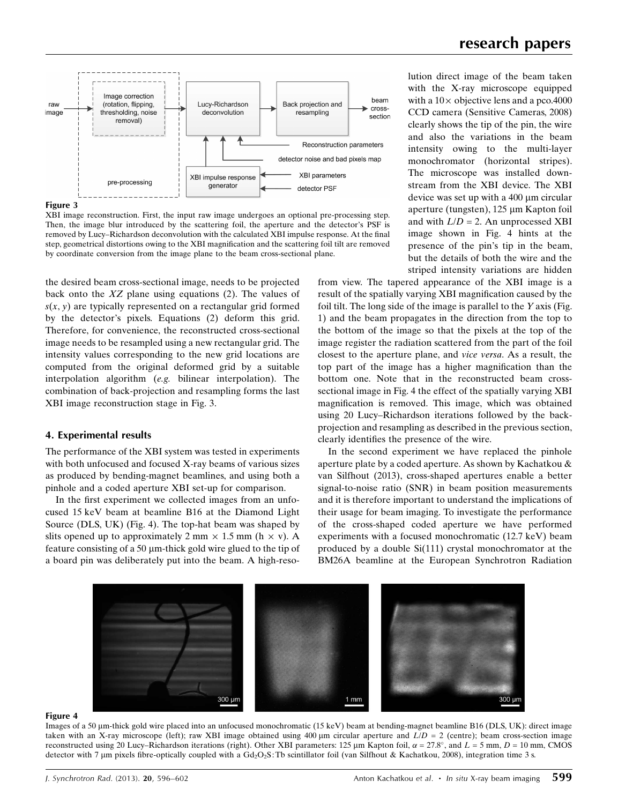

#### Figure 3

XBI image reconstruction. First, the input raw image undergoes an optional pre-processing step. Then, the image blur introduced by the scattering foil, the aperture and the detector's PSF is removed by Lucy–Richardson deconvolution with the calculated XBI impulse response. At the final step, geometrical distortions owing to the XBI magnification and the scattering foil tilt are removed by coordinate conversion from the image plane to the beam cross-sectional plane.

the desired beam cross-sectional image, needs to be projected back onto the  $XZ$  plane using equations (2). The values of  $s(x, y)$  are typically represented on a rectangular grid formed by the detector's pixels. Equations (2) deform this grid. Therefore, for convenience, the reconstructed cross-sectional image needs to be resampled using a new rectangular grid. The intensity values corresponding to the new grid locations are computed from the original deformed grid by a suitable interpolation algorithm (e.g. bilinear interpolation). The combination of back-projection and resampling forms the last XBI image reconstruction stage in Fig. 3.

#### 4. Experimental results

The performance of the XBI system was tested in experiments with both unfocused and focused X-ray beams of various sizes as produced by bending-magnet beamlines, and using both a pinhole and a coded aperture XBI set-up for comparison.

In the first experiment we collected images from an unfocused 15 keV beam at beamline B16 at the Diamond Light Source (DLS, UK) (Fig. 4). The top-hat beam was shaped by slits opened up to approximately 2 mm  $\times$  1.5 mm (h  $\times$  v). A feature consisting of a 50  $\mu$ m-thick gold wire glued to the tip of a board pin was deliberately put into the beam. A high-reso-

## research papers

lution direct image of the beam taken with the X-ray microscope equipped with a  $10 \times$  objective lens and a pco.4000 CCD camera (Sensitive Cameras, 2008) clearly shows the tip of the pin, the wire and also the variations in the beam intensity owing to the multi-layer monochromator (horizontal stripes). The microscope was installed downstream from the XBI device. The XBI device was set up with a  $400 \mu m$  circular aperture (tungsten),  $125 \mu m$  Kapton foil and with  $L/D = 2$ . An unprocessed XBI image shown in Fig. 4 hints at the presence of the pin's tip in the beam, but the details of both the wire and the striped intensity variations are hidden

from view. The tapered appearance of the XBI image is a result of the spatially varying XBI magnification caused by the foil tilt. The long side of the image is parallel to the Y axis (Fig. 1) and the beam propagates in the direction from the top to the bottom of the image so that the pixels at the top of the image register the radiation scattered from the part of the foil closest to the aperture plane, and vice versa. As a result, the top part of the image has a higher magnification than the bottom one. Note that in the reconstructed beam crosssectional image in Fig. 4 the effect of the spatially varying XBI magnification is removed. This image, which was obtained using 20 Lucy–Richardson iterations followed by the backprojection and resampling as described in the previous section, clearly identifies the presence of the wire.

In the second experiment we have replaced the pinhole aperture plate by a coded aperture. As shown by Kachatkou & van Silfhout (2013), cross-shaped apertures enable a better signal-to-noise ratio (SNR) in beam position measurements and it is therefore important to understand the implications of their usage for beam imaging. To investigate the performance of the cross-shaped coded aperture we have performed experiments with a focused monochromatic (12.7 keV) beam produced by a double Si(111) crystal monochromator at the BM26A beamline at the European Synchrotron Radiation



#### Figure 4

Images of a 50  $\mu$ m-thick gold wire placed into an unfocused monochromatic (15 keV) beam at bending-magnet beamline B16 (DLS, UK): direct image taken with an X-ray microscope (left); raw XBI image obtained using 400  $\mu$ m circular aperture and  $L/D = 2$  (centre); beam cross-section image reconstructed using 20 Lucy–Richardson iterations (right). Other XBI parameters: 125  $\mu$ m Kapton foil,  $\alpha = 27.8^{\circ}$ , and  $L = 5$  mm,  $D = 10$  mm, CMOS detector with 7 µm pixels fibre-optically coupled with a Gd<sub>2</sub>O<sub>2</sub>S: Tb scintillator foil (van Silfhout & Kachatkou, 2008), integration time 3 s.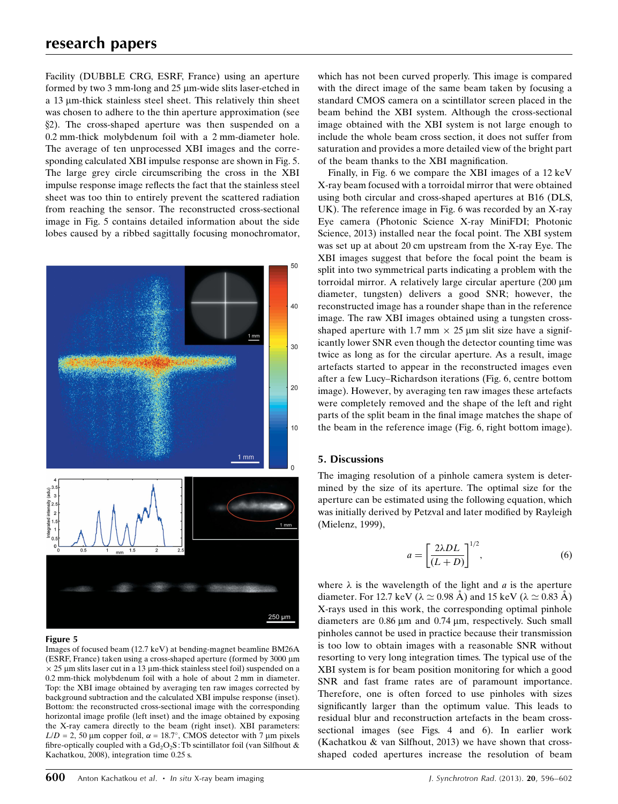## research papers

Facility (DUBBLE CRG, ESRF, France) using an aperture formed by two  $3$  mm-long and  $25 \mu$ m-wide slits laser-etched in a  $13 \mu$ m-thick stainless steel sheet. This relatively thin sheet was chosen to adhere to the thin aperture approximation (see x2). The cross-shaped aperture was then suspended on a 0.2 mm-thick molybdenum foil with a 2 mm-diameter hole. The average of ten unprocessed XBI images and the corresponding calculated XBI impulse response are shown in Fig. 5. The large grey circle circumscribing the cross in the XBI impulse response image reflects the fact that the stainless steel sheet was too thin to entirely prevent the scattered radiation from reaching the sensor. The reconstructed cross-sectional image in Fig. 5 contains detailed information about the side lobes caused by a ribbed sagittally focusing monochromator,



#### Figure 5

Images of focused beam (12.7 keV) at bending-magnet beamline BM26A (ESRF, France) taken using a cross-shaped aperture (formed by 3000 mm  $\times$  25 µm slits laser cut in a 13 µm-thick stainless steel foil) suspended on a 0.2 mm-thick molybdenum foil with a hole of about 2 mm in diameter. Top: the XBI image obtained by averaging ten raw images corrected by background subtraction and the calculated XBI impulse response (inset). Bottom: the reconstructed cross-sectional image with the corresponding horizontal image profile (left inset) and the image obtained by exposing the X-ray camera directly to the beam (right inset). XBI parameters:  $L/D = 2$ , 50 µm copper foil,  $\alpha = 18.7^{\circ}$ , CMOS detector with 7 µm pixels fibre-optically coupled with a  $Gd_2O_2S$ : Tb scintillator foil (van Silfhout & Kachatkou, 2008), integration time 0.25 s.

which has not been curved properly. This image is compared with the direct image of the same beam taken by focusing a standard CMOS camera on a scintillator screen placed in the beam behind the XBI system. Although the cross-sectional image obtained with the XBI system is not large enough to include the whole beam cross section, it does not suffer from saturation and provides a more detailed view of the bright part of the beam thanks to the XBI magnification.

Finally, in Fig. 6 we compare the XBI images of a 12 keV X-ray beam focused with a torroidal mirror that were obtained using both circular and cross-shaped apertures at B16 (DLS, UK). The reference image in Fig. 6 was recorded by an X-ray Eye camera (Photonic Science X-ray MiniFDI; Photonic Science, 2013) installed near the focal point. The XBI system was set up at about 20 cm upstream from the X-ray Eye. The XBI images suggest that before the focal point the beam is split into two symmetrical parts indicating a problem with the torroidal mirror. A relatively large circular aperture (200 µm diameter, tungsten) delivers a good SNR; however, the reconstructed image has a rounder shape than in the reference image. The raw XBI images obtained using a tungsten crossshaped aperture with 1.7 mm  $\times$  25 µm slit size have a significantly lower SNR even though the detector counting time was twice as long as for the circular aperture. As a result, image artefacts started to appear in the reconstructed images even after a few Lucy–Richardson iterations (Fig. 6, centre bottom image). However, by averaging ten raw images these artefacts were completely removed and the shape of the left and right parts of the split beam in the final image matches the shape of the beam in the reference image (Fig. 6, right bottom image).

### 5. Discussions

The imaging resolution of a pinhole camera system is determined by the size of its aperture. The optimal size for the aperture can be estimated using the following equation, which was initially derived by Petzval and later modified by Rayleigh (Mielenz, 1999),

$$
a = \left[\frac{2\lambda DL}{(L+D)}\right]^{1/2},\tag{6}
$$

where  $\lambda$  is the wavelength of the light and a is the aperture diameter. For 12.7 keV ( $\lambda \approx 0.98$  Å) and 15 keV ( $\lambda \approx 0.83$  Å) X-rays used in this work, the corresponding optimal pinhole diameters are  $0.86 \mu m$  and  $0.74 \mu m$ , respectively. Such small pinholes cannot be used in practice because their transmission is too low to obtain images with a reasonable SNR without resorting to very long integration times. The typical use of the XBI system is for beam position monitoring for which a good SNR and fast frame rates are of paramount importance. Therefore, one is often forced to use pinholes with sizes significantly larger than the optimum value. This leads to residual blur and reconstruction artefacts in the beam crosssectional images (see Figs. 4 and 6). In earlier work (Kachatkou & van Silfhout, 2013) we have shown that crossshaped coded apertures increase the resolution of beam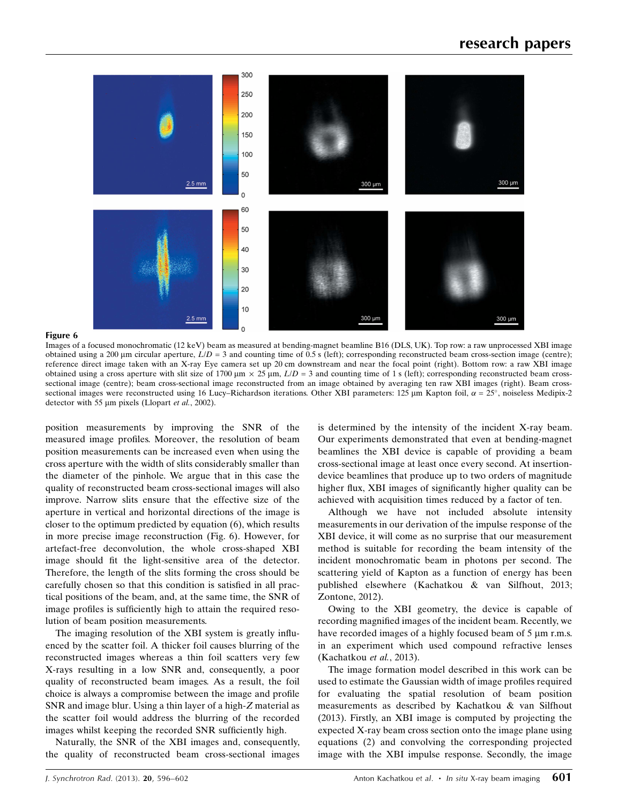

#### Figure 6

Images of a focused monochromatic (12 keV) beam as measured at bending-magnet beamline B16 (DLS, UK). Top row: a raw unprocessed XBI image obtained using a 200  $\mu$ m circular aperture,  $L/D = 3$  and counting time of 0.5 s (left); corresponding reconstructed beam cross-section image (centre); reference direct image taken with an X-ray Eye camera set up 20 cm downstream and near the focal point (right). Bottom row: a raw XBI image obtained using a cross aperture with slit size of 1700  $\mu$ m  $\times$  25  $\mu$ m,  $L/D = 3$  and counting time of 1 s (left); corresponding reconstructed beam crosssectional image (centre); beam cross-sectional image reconstructed from an image obtained by averaging ten raw XBI images (right). Beam crosssectional images were reconstructed using 16 Lucy–Richardson iterations. Other XBI parameters: 125  $\mu$ m Kapton foil,  $\alpha = 25^{\circ}$ , noiseless Medipix-2 detector with 55  $\mu$ m pixels (Llopart et al., 2002).

position measurements by improving the SNR of the measured image profiles. Moreover, the resolution of beam position measurements can be increased even when using the cross aperture with the width of slits considerably smaller than the diameter of the pinhole. We argue that in this case the quality of reconstructed beam cross-sectional images will also improve. Narrow slits ensure that the effective size of the aperture in vertical and horizontal directions of the image is closer to the optimum predicted by equation (6), which results in more precise image reconstruction (Fig. 6). However, for artefact-free deconvolution, the whole cross-shaped XBI image should fit the light-sensitive area of the detector. Therefore, the length of the slits forming the cross should be carefully chosen so that this condition is satisfied in all practical positions of the beam, and, at the same time, the SNR of image profiles is sufficiently high to attain the required resolution of beam position measurements.

The imaging resolution of the XBI system is greatly influenced by the scatter foil. A thicker foil causes blurring of the reconstructed images whereas a thin foil scatters very few X-rays resulting in a low SNR and, consequently, a poor quality of reconstructed beam images. As a result, the foil choice is always a compromise between the image and profile SNR and image blur. Using a thin layer of a high-Z material as the scatter foil would address the blurring of the recorded images whilst keeping the recorded SNR sufficiently high.

Naturally, the SNR of the XBI images and, consequently, the quality of reconstructed beam cross-sectional images is determined by the intensity of the incident X-ray beam. Our experiments demonstrated that even at bending-magnet beamlines the XBI device is capable of providing a beam cross-sectional image at least once every second. At insertiondevice beamlines that produce up to two orders of magnitude higher flux, XBI images of significantly higher quality can be achieved with acquisition times reduced by a factor of ten.

Although we have not included absolute intensity measurements in our derivation of the impulse response of the XBI device, it will come as no surprise that our measurement method is suitable for recording the beam intensity of the incident monochromatic beam in photons per second. The scattering yield of Kapton as a function of energy has been published elsewhere (Kachatkou & van Silfhout, 2013; Zontone, 2012).

Owing to the XBI geometry, the device is capable of recording magnified images of the incident beam. Recently, we have recorded images of a highly focused beam of  $5 \mu m$  r.m.s. in an experiment which used compound refractive lenses (Kachatkou et al., 2013).

The image formation model described in this work can be used to estimate the Gaussian width of image profiles required for evaluating the spatial resolution of beam position measurements as described by Kachatkou & van Silfhout (2013). Firstly, an XBI image is computed by projecting the expected X-ray beam cross section onto the image plane using equations (2) and convolving the corresponding projected image with the XBI impulse response. Secondly, the image